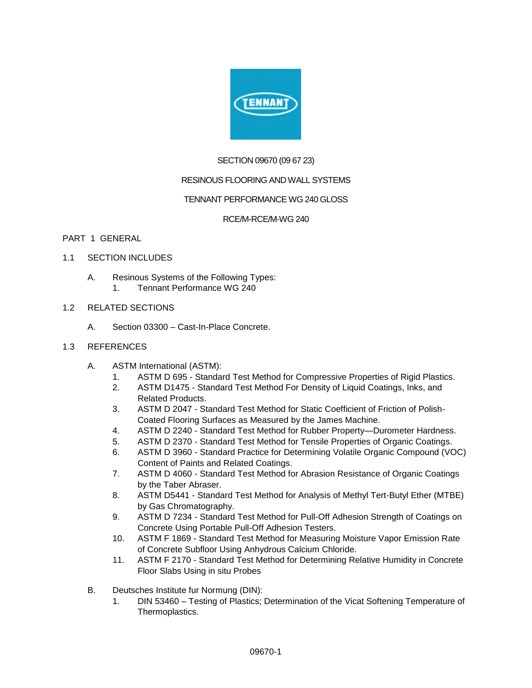

## SECTION 09670 (09 67 23)

## RESINOUS FLOORING AND WALL SYSTEMS

## TENNANT PERFORMANCE WG 240 GLOSS

### RCE/M-RCE/M-WG 240

### PART 1 GENERAL

- 1.1 SECTION INCLUDES
	- A. Resinous Systems of the Following Types:
		- 1. Tennant Performance WG 240
- 1.2 RELATED SECTIONS
	- A. Section 03300 Cast-In-Place Concrete.
- 1.3 REFERENCES
	- A. ASTM International (ASTM):
		- 1. ASTM D 695 Standard Test Method for Compressive Properties of Rigid Plastics.
		- 2. ASTM D1475 Standard Test Method For Density of Liquid Coatings, Inks, and Related Products.
		- 3. ASTM D 2047 Standard Test Method for Static Coefficient of Friction of Polish-Coated Flooring Surfaces as Measured by the James Machine.
		- 4. ASTM D 2240 Standard Test Method for Rubber Property—Durometer Hardness.
		- 5. ASTM D 2370 Standard Test Method for Tensile Properties of Organic Coatings.
		- 6. ASTM D 3960 Standard Practice for Determining Volatile Organic Compound (VOC) Content of Paints and Related Coatings.
		- 7. ASTM D 4060 Standard Test Method for Abrasion Resistance of Organic Coatings by the Taber Abraser.
		- 8. ASTM D5441 Standard Test Method for Analysis of Methyl Tert-Butyl Ether (MTBE) by Gas Chromatography.
		- 9. ASTM D 7234 Standard Test Method for Pull-Off Adhesion Strength of Coatings on Concrete Using Portable Pull-Off Adhesion Testers.
		- 10. ASTM F 1869 Standard Test Method for Measuring Moisture Vapor Emission Rate of Concrete Subfloor Using Anhydrous Calcium Chloride.
		- 11. ASTM F 2170 Standard Test Method for Determining Relative Humidity in Concrete Floor Slabs Using in situ Probes
	- B. Deutsches Institute fur Normung (DIN):
		- 1. DIN 53460 Testing of Plastics; Determination of the Vicat Softening Temperature of Thermoplastics.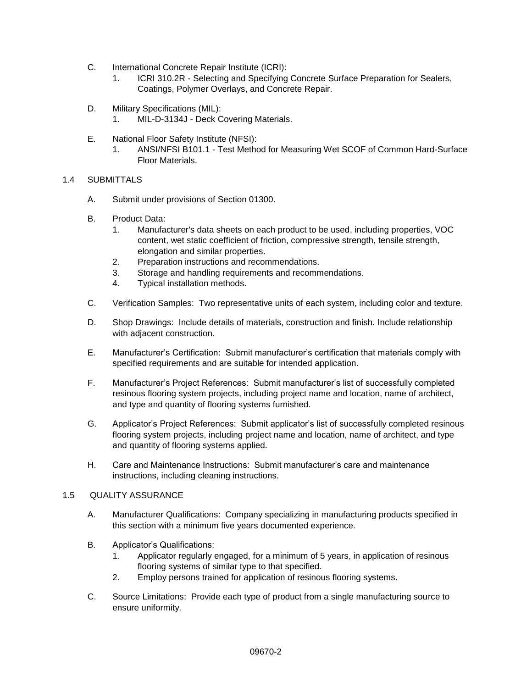- C. International Concrete Repair Institute (ICRI):
	- 1. ICRI 310.2R Selecting and Specifying Concrete Surface Preparation for Sealers, Coatings, Polymer Overlays, and Concrete Repair.
- D. Military Specifications (MIL):
	- 1. MIL-D-3134J Deck Covering Materials.
- E. National Floor Safety Institute (NFSI):
	- 1. ANSI/NFSI B101.1 Test Method for Measuring Wet SCOF of Common Hard-Surface Floor Materials.
- 1.4 SUBMITTALS
	- A. Submit under provisions of Section 01300.
	- B. Product Data:
		- 1. Manufacturer's data sheets on each product to be used, including properties, VOC content, wet static coefficient of friction, compressive strength, tensile strength, elongation and similar properties.
		- 2. Preparation instructions and recommendations.
		- 3. Storage and handling requirements and recommendations.
		- 4. Typical installation methods.
	- C. Verification Samples: Two representative units of each system, including color and texture.
	- D. Shop Drawings: Include details of materials, construction and finish. Include relationship with adjacent construction.
	- E. Manufacturer's Certification: Submit manufacturer's certification that materials comply with specified requirements and are suitable for intended application.
	- F. Manufacturer's Project References: Submit manufacturer's list of successfully completed resinous flooring system projects, including project name and location, name of architect, and type and quantity of flooring systems furnished.
	- G. Applicator's Project References: Submit applicator's list of successfully completed resinous flooring system projects, including project name and location, name of architect, and type and quantity of flooring systems applied.
	- H. Care and Maintenance Instructions: Submit manufacturer's care and maintenance instructions, including cleaning instructions.

## 1.5 QUALITY ASSURANCE

- A. Manufacturer Qualifications: Company specializing in manufacturing products specified in this section with a minimum five years documented experience.
- B. Applicator's Qualifications:
	- 1. Applicator regularly engaged, for a minimum of 5 years, in application of resinous flooring systems of similar type to that specified.
	- 2. Employ persons trained for application of resinous flooring systems.
- C. Source Limitations: Provide each type of product from a single manufacturing source to ensure uniformity.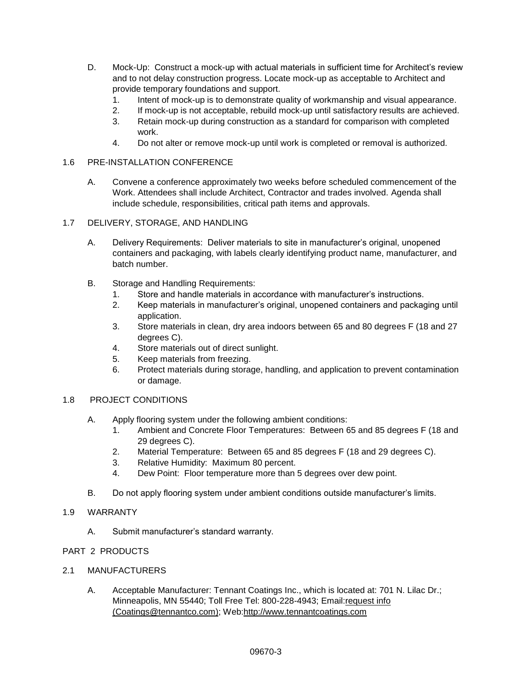- D. Mock-Up: Construct a mock-up with actual materials in sufficient time for Architect's review and to not delay construction progress. Locate mock-up as acceptable to Architect and provide temporary foundations and support.
	- 1. Intent of mock-up is to demonstrate quality of workmanship and visual appearance.
	- 2. If mock-up is not acceptable, rebuild mock-up until satisfactory results are achieved.
	- 3. Retain mock-up during construction as a standard for comparison with completed work.
	- 4. Do not alter or remove mock-up until work is completed or removal is authorized.

## 1.6 PRE-INSTALLATION CONFERENCE

A. Convene a conference approximately two weeks before scheduled commencement of the Work. Attendees shall include Architect, Contractor and trades involved. Agenda shall include schedule, responsibilities, critical path items and approvals.

### 1.7 DELIVERY, STORAGE, AND HANDLING

- A. Delivery Requirements: Deliver materials to site in manufacturer's original, unopened containers and packaging, with labels clearly identifying product name, manufacturer, and batch number.
- B. Storage and Handling Requirements:
	- 1. Store and handle materials in accordance with manufacturer's instructions.
	- 2. Keep materials in manufacturer's original, unopened containers and packaging until application.
	- 3. Store materials in clean, dry area indoors between 65 and 80 degrees F (18 and 27 degrees C).
	- 4. Store materials out of direct sunlight.
	- 5. Keep materials from freezing.
	- 6. Protect materials during storage, handling, and application to prevent contamination or damage.

#### 1.8 PROJECT CONDITIONS

- A. Apply flooring system under the following ambient conditions:
	- 1. Ambient and Concrete Floor Temperatures: Between 65 and 85 degrees F (18 and 29 degrees C).
	- 2. Material Temperature: Between 65 and 85 degrees F (18 and 29 degrees C).
	- 3. Relative Humidity: Maximum 80 percent.
	- 4. Dew Point: Floor temperature more than 5 degrees over dew point.
- B. Do not apply flooring system under ambient conditions outside manufacturer's limits.

### 1.9 WARRANTY

A. Submit manufacturer's standard warranty.

## PART 2 PRODUCTS

- 2.1 MANUFACTURERS
	- A. Acceptable Manufacturer: Tennant Coatings Inc., which is located at: 701 N. Lilac Dr.; Minneapolis, MN 55440; Toll Free Tel: 800-228-4943; Email[:request info](http://admin.arcat.com/users.pl?action=UserEmail&company=Tennant+Coatings+Inc.&coid=35973&rep=&fax=&message=RE:%20Spec%20Question%20(09670tnt):%20%20&mf=)  [\(Coatings@tennantco.com\);](http://admin.arcat.com/users.pl?action=UserEmail&company=Tennant+Coatings+Inc.&coid=35973&rep=&fax=&message=RE:%20Spec%20Question%20(09670tnt):%20%20&mf=) Web[:http://www.tennantcoatings.com](http://www.tennantcoatings.com/)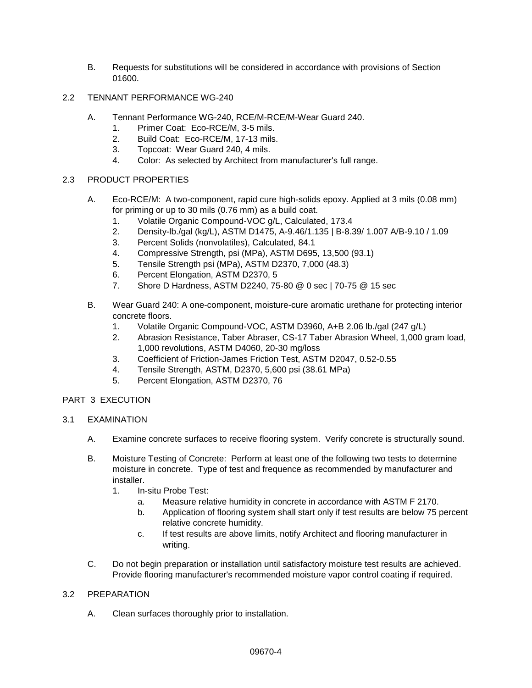- B. Requests for substitutions will be considered in accordance with provisions of Section 01600.
- 2.2 TENNANT PERFORMANCE WG-240
	- A. Tennant Performance WG-240, RCE/M-RCE/M-Wear Guard 240.
		- 1. Primer Coat: Eco-RCE/M, 3-5 mils.
		- 2. Build Coat: Eco-RCE/M, 17-13 mils.
		- 3. Topcoat: Wear Guard 240, 4 mils.
		- 4. Color: As selected by Architect from manufacturer's full range.

## 2.3 PRODUCT PROPERTIES

- A. Eco-RCE/M: A two-component, rapid cure high-solids epoxy. Applied at 3 mils (0.08 mm) for priming or up to 30 mils (0.76 mm) as a build coat.
	- 1. Volatile Organic Compound-VOC g/L, Calculated, 173.4
	- 2. Density-lb./gal (kg/L), ASTM D1475, A-9.46/1.135 | B-8.39/ 1.007 A/B-9.10 / 1.09
	- 3. Percent Solids (nonvolatiles), Calculated, 84.1
	- 4. Compressive Strength, psi (MPa), ASTM D695, 13,500 (93.1)
	- 5. Tensile Strength psi (MPa), ASTM D2370, 7,000 (48.3)
	- 6. Percent Elongation, ASTM D2370, 5
	- 7. Shore D Hardness, ASTM D2240, 75-80 @ 0 sec | 70-75 @ 15 sec
- B. Wear Guard 240: A one-component, moisture-cure aromatic urethane for protecting interior concrete floors.
	- 1. Volatile Organic Compound-VOC, ASTM D3960, A+B 2.06 lb./gal (247 g/L)
	- 2. Abrasion Resistance, Taber Abraser, CS-17 Taber Abrasion Wheel, 1,000 gram load, 1,000 revolutions, ASTM D4060, 20-30 mg/loss
	- 3. Coefficient of Friction-James Friction Test, ASTM D2047, 0.52-0.55
	- 4. Tensile Strength, ASTM, D2370, 5,600 psi (38.61 MPa)
	- 5. Percent Elongation, ASTM D2370, 76

## PART 3 EXECUTION

- 3.1 EXAMINATION
	- A. Examine concrete surfaces to receive flooring system. Verify concrete is structurally sound.
	- B. Moisture Testing of Concrete: Perform at least one of the following two tests to determine moisture in concrete. Type of test and frequence as recommended by manufacturer and installer.
		- 1. In-situ Probe Test:
			- a. Measure relative humidity in concrete in accordance with ASTM F 2170.
			- b. Application of flooring system shall start only if test results are below 75 percent relative concrete humidity.
			- c. If test results are above limits, notify Architect and flooring manufacturer in writing.
	- C. Do not begin preparation or installation until satisfactory moisture test results are achieved. Provide flooring manufacturer's recommended moisture vapor control coating if required.

## 3.2 PREPARATION

A. Clean surfaces thoroughly prior to installation.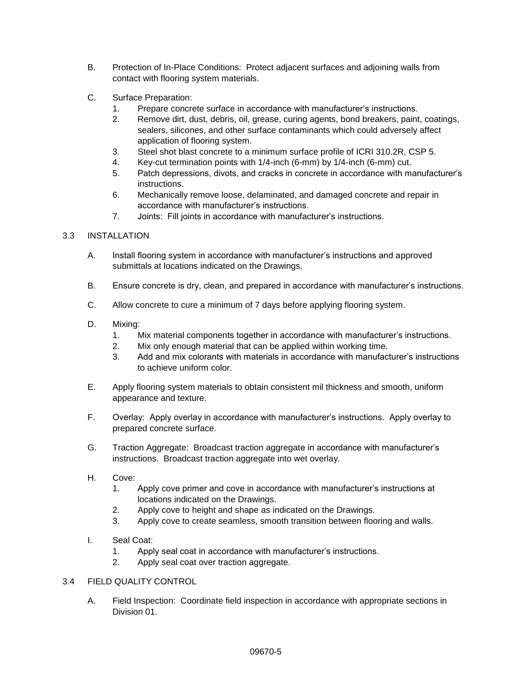- B. Protection of In-Place Conditions: Protect adjacent surfaces and adjoining walls from contact with flooring system materials.
- C. Surface Preparation:
	- 1. Prepare concrete surface in accordance with manufacturer's instructions.
	- 2. Remove dirt, dust, debris, oil, grease, curing agents, bond breakers, paint, coatings, sealers, silicones, and other surface contaminants which could adversely affect application of flooring system.
	- 3. Steel shot blast concrete to a minimum surface profile of ICRI 310.2R, CSP 5.
	- 4. Key-cut termination points with 1/4-inch (6-mm) by 1/4-inch (6-mm) cut.
	- 5. Patch depressions, divots, and cracks in concrete in accordance with manufacturer's instructions.
	- 6. Mechanically remove loose, delaminated, and damaged concrete and repair in accordance with manufacturer's instructions.
	- 7. Joints: Fill joints in accordance with manufacturer's instructions.

## 3.3 INSTALLATION

- A. Install flooring system in accordance with manufacturer's instructions and approved submittals at locations indicated on the Drawings.
- B. Ensure concrete is dry, clean, and prepared in accordance with manufacturer's instructions.
- C. Allow concrete to cure a minimum of 7 days before applying flooring system.
- D. Mixing:
	- 1. Mix material components together in accordance with manufacturer's instructions.
	- 2. Mix only enough material that can be applied within working time.
	- 3. Add and mix colorants with materials in accordance with manufacturer's instructions to achieve uniform color.
- E. Apply flooring system materials to obtain consistent mil thickness and smooth, uniform appearance and texture.
- F. Overlay: Apply overlay in accordance with manufacturer's instructions. Apply overlay to prepared concrete surface.
- G. Traction Aggregate: Broadcast traction aggregate in accordance with manufacturer's instructions. Broadcast traction aggregate into wet overlay.
- H. Cove:
	- 1. Apply cove primer and cove in accordance with manufacturer's instructions at locations indicated on the Drawings.
	- 2. Apply cove to height and shape as indicated on the Drawings.
	- 3. Apply cove to create seamless, smooth transition between flooring and walls.
- I. Seal Coat:
	- 1. Apply seal coat in accordance with manufacturer's instructions.
	- 2. Apply seal coat over traction aggregate.

#### 3.4 FIELD QUALITY CONTROL

A. Field Inspection: Coordinate field inspection in accordance with appropriate sections in Division 01.